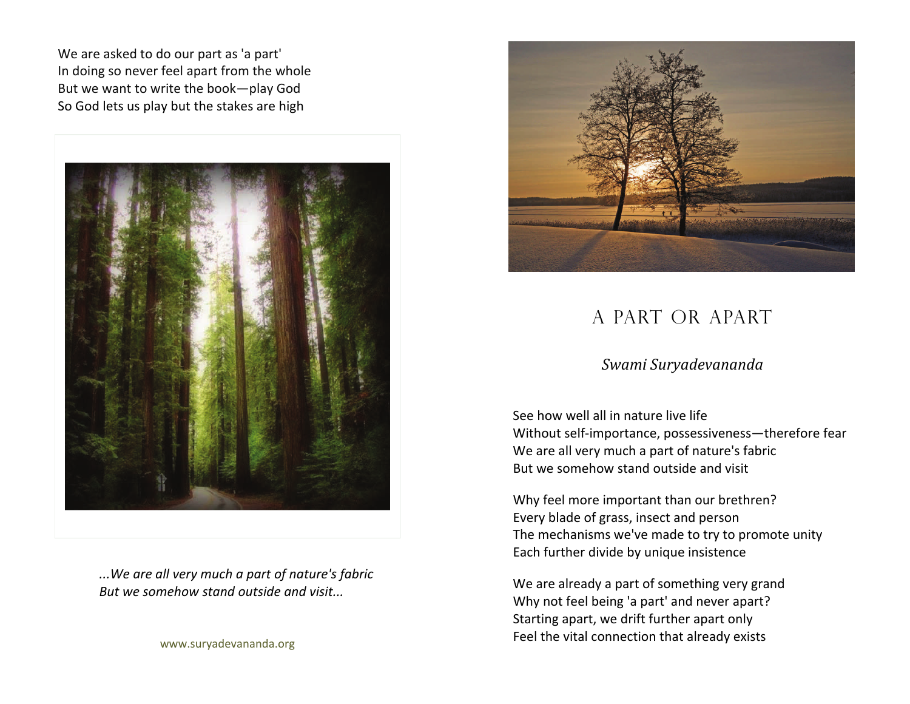We are asked to do our part as 'a part' In doing so never feel apart from the whole But we want to write the book—play God So God lets us play but the stakes are high



*...We are all very much <sup>a</sup> part of nature's fabric But we somehow stand outside and visit...*

www.suryadevananda.org



## A PART OR APART

## *Swami Suryadevananda*

See how well all in nature live life Without self‐importance, possessiveness—therefore fear We are all very much <sup>a</sup> part of nature's fabric But we somehow stand outside and visit

Why feel more important than our brethren? Every blade of grass, insect and person The mechanisms we've made to try to promote unity Each further divide by unique insistence

We are already <sup>a</sup> part of something very grand Why not feel being 'a part' and never apart? Starting apart, we drift further apart only Feel the vital connection that already exists